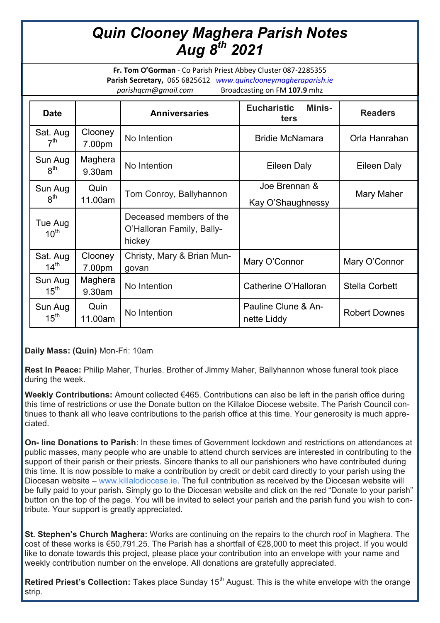## *Quin Clooney Maghera Parish Notes Aug 8th 2021*

**Fr. Tom O'Gorman** - Co Parish Priest Abbey Cluster 087-2285355 **Parish Secretary,** 065 6825612 *www.quinclooneymagheraparish.ie parishqcm@gmail.com* Broadcasting on FM **107.9** mhz

| <b>Date</b>                  |                   | <b>Anniversaries</b>                                           | <b>Eucharistic</b><br><b>Minis-</b><br>ters | <b>Readers</b>        |
|------------------------------|-------------------|----------------------------------------------------------------|---------------------------------------------|-----------------------|
| Sat. Aug<br>7 <sup>th</sup>  | Clooney<br>7.00pm | No Intention                                                   | <b>Bridie McNamara</b>                      | Orla Hanrahan         |
| Sun Aug<br>8 <sup>th</sup>   | Maghera<br>9.30am | No Intention                                                   | Eileen Daly                                 | Eileen Daly           |
| Sun Aug<br>8 <sup>th</sup>   | Quin<br>11.00am   | Tom Conroy, Ballyhannon                                        | Joe Brennan &<br>Kay O'Shaughnessy          | Mary Maher            |
| Tue Aug<br>10 <sup>th</sup>  |                   | Deceased members of the<br>O'Halloran Family, Bally-<br>hickey |                                             |                       |
| Sat. Aug<br>14 <sup>th</sup> | Clooney<br>7.00pm | Christy, Mary & Brian Mun-<br>govan                            | Mary O'Connor                               | Mary O'Connor         |
| Sun Aug<br>15 <sup>th</sup>  | Maghera<br>9.30am | No Intention                                                   | Catherine O'Halloran                        | <b>Stella Corbett</b> |
| Sun Aug<br>15 <sup>th</sup>  | Quin<br>11.00am   | No Intention                                                   | Pauline Clune & An-<br>nette Liddy          | <b>Robert Downes</b>  |

**Daily Mass: (Quin)** Mon-Fri: 10am

**Rest In Peace:** Philip Maher, Thurles. Brother of Jimmy Maher, Ballyhannon whose funeral took place during the week.

**Weekly Contributions:** Amount collected €465. Contributions can also be left in the parish office during this time of restrictions or use the Donate button on the Killaloe Diocese website. The Parish Council continues to thank all who leave contributions to the parish office at this time. Your generosity is much appreciated.

**On- line Donations to Parish**: In these times of Government lockdown and restrictions on attendances at public masses, many people who are unable to attend church services are interested in contributing to the support of their parish or their priests. Sincere thanks to all our parishioners who have contributed during this time. It is now possible to make a contribution by credit or debit card directly to your parish using the Diocesan website – [www.killalodiocese.ie.](http://www.killalodiocese.ie/) The full contribution as received by the Diocesan website will be fully paid to your parish. Simply go to the Diocesan website and click on the red "Donate to your parish" button on the top of the page. You will be invited to select your parish and the parish fund you wish to contribute. Your support is greatly appreciated.

**St. Stephen's Church Maghera:** Works are continuing on the repairs to the church roof in Maghera. The cost of these works is €50,791.25. The Parish has a shortfall of €28,000 to meet this project. If you would like to donate towards this project, please place your contribution into an envelope with your name and weekly contribution number on the envelope. All donations are gratefully appreciated.

**Retired Priest's Collection:** Takes place Sunday 15<sup>th</sup> August. This is the white envelope with the orange strip.